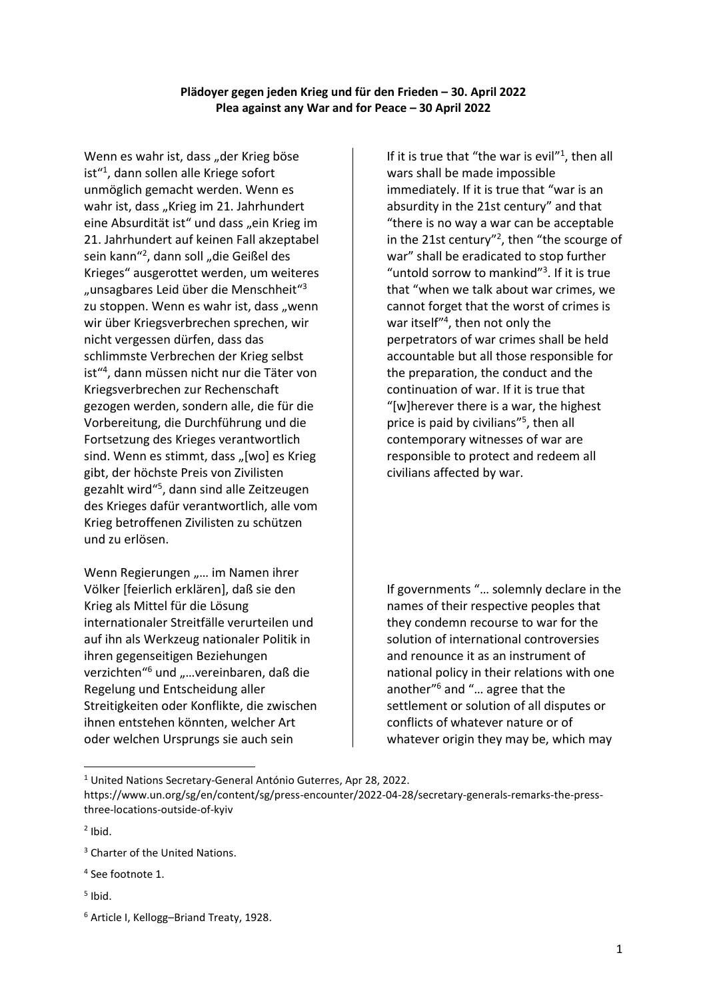#### **Plädoyer gegen jeden Krieg und für den Frieden – 30. April 2022 Plea against any War and for Peace – 30 April 2022**

Wenn es wahr ist, dass "der Krieg böse ist"<sup>1</sup>, dann sollen alle Kriege sofort unmöglich gemacht werden. Wenn es wahr ist, dass "Krieg im 21. Jahrhundert eine Absurdität ist" und dass "ein Krieg im 21. Jahrhundert auf keinen Fall akzeptabel sein kann"<sup>2</sup>, dann soll "die Geißel des Krieges" ausgerottet werden, um weiteres "unsagbares Leid über die Menschheit"<sup>3</sup> zu stoppen. Wenn es wahr ist, dass "wenn wir über Kriegsverbrechen sprechen, wir nicht vergessen dürfen, dass das schlimmste Verbrechen der Krieg selbst ist"<sup>4</sup> , dann müssen nicht nur die Täter von Kriegsverbrechen zur Rechenschaft gezogen werden, sondern alle, die für die Vorbereitung, die Durchführung und die Fortsetzung des Krieges verantwortlich sind. Wenn es stimmt, dass "[wo] es Krieg gibt, der höchste Preis von Zivilisten gezahlt wird"<sup>5</sup> , dann sind alle Zeitzeugen des Krieges dafür verantwortlich, alle vom Krieg betroffenen Zivilisten zu schützen und zu erlösen.

Wenn Regierungen "... im Namen ihrer Völker [feierlich erklären], daß sie den Krieg als Mittel für die Lösung internationaler Streitfälle verurteilen und auf ihn als Werkzeug nationaler Politik in ihren gegenseitigen Beziehungen verzichten"<sup>6</sup> und "...vereinbaren, daß die Regelung und Entscheidung aller Streitigkeiten oder Konflikte, die zwischen ihnen entstehen könnten, welcher Art oder welchen Ursprungs sie auch sein

If it is true that "the war is evil"<sup>1</sup>, then all wars shall be made impossible immediately. If it is true that "war is an absurdity in the 21st century" and that "there is no way a war can be acceptable in the 21st century"<sup>2</sup>, then "the scourge of war" shall be eradicated to stop further "untold sorrow to mankind"<sup>3</sup>. If it is true that "when we talk about war crimes, we cannot forget that the worst of crimes is war itself"<sup>4</sup>, then not only the perpetrators of war crimes shall be held accountable but all those responsible for the preparation, the conduct and the continuation of war. If it is true that "[w]herever there is a war, the highest price is paid by civilians" 5 , then all contemporary witnesses of war are responsible to protect and redeem all civilians affected by war.

If governments "… solemnly declare in the names of their respective peoples that they condemn recourse to war for the solution of international controversies and renounce it as an instrument of national policy in their relations with one another" <sup>6</sup> and "… agree that the settlement or solution of all disputes or conflicts of whatever nature or of whatever origin they may be, which may

5 Ibid.

<sup>1</sup> United Nations Secretary-General António Guterres, Apr 28, 2022.

https://www.un.org/sg/en/content/sg/press-encounter/2022-04-28/secretary-generals-remarks-the-pressthree-locations-outside-of-kyiv

 $2$  Ibid.

<sup>&</sup>lt;sup>3</sup> Charter of the United Nations.

<sup>4</sup> See footnote 1.

<sup>6</sup> Article I, Kellogg–Briand Treaty, 1928.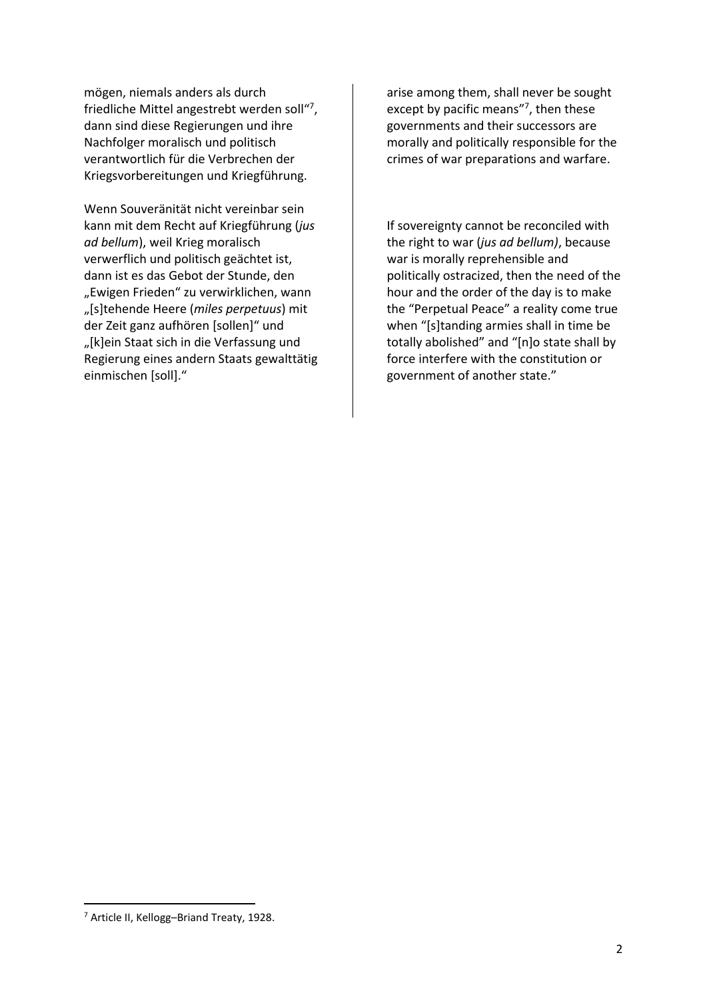mögen, niemals anders als durch friedliche Mittel angestrebt werden soll"<sup>7</sup>, dann sind diese Regierungen und ihre Nachfolger moralisch und politisch verantwortlich für die Verbrechen der Kriegsvorbereitungen und Kriegführung.

Wenn Souveränität nicht vereinbar sein kann mit dem Recht auf Kriegführung (*jus ad bellum*), weil Krieg moralisch verwerflich und politisch geächtet ist, dann ist es das Gebot der Stunde, den "Ewigen Frieden" zu verwirklichen, wann "[s]tehende Heere (*miles perpetuus*) mit der Zeit ganz aufhören [sollen]" und "[k]ein Staat sich in die Verfassung und Regierung eines andern Staats gewalttätig einmischen [soll]."

arise among them, shall never be sought except by pacific means" 7 , then these governments and their successors are morally and politically responsible for the crimes of war preparations and warfare.

If sovereignty cannot be reconciled with the right to war (*jus ad bellum)*, because war is morally reprehensible and politically ostracized, then the need of the hour and the order of the day is to make the "Perpetual Peace" a reality come true when "[s]tanding armies shall in time be totally abolished" and "[n]o state shall by force interfere with the constitution or government of another state."

<sup>&</sup>lt;sup>7</sup> Article II, Kellogg-Briand Treaty, 1928.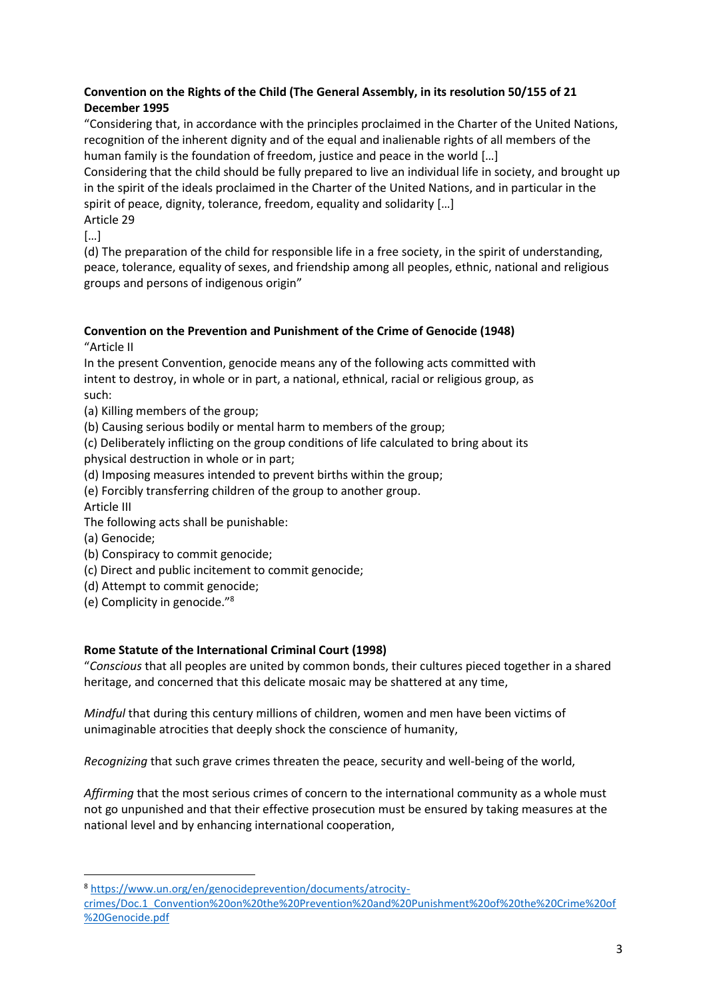## **Convention on the Rights of the Child (The General Assembly, in its resolution 50/155 of 21 December 1995**

"Considering that, in accordance with the principles proclaimed in the Charter of the United Nations, recognition of the inherent dignity and of the equal and inalienable rights of all members of the human family is the foundation of freedom, justice and peace in the world […]

Considering that the child should be fully prepared to live an individual life in society, and brought up in the spirit of the ideals proclaimed in the Charter of the United Nations, and in particular in the spirit of peace, dignity, tolerance, freedom, equality and solidarity […] Article 29

[…]

(d) The preparation of the child for responsible life in a free society, in the spirit of understanding, peace, tolerance, equality of sexes, and friendship among all peoples, ethnic, national and religious groups and persons of indigenous origin"

## **Convention on the Prevention and Punishment of the Crime of Genocide (1948)** "Article II

In the present Convention, genocide means any of the following acts committed with intent to destroy, in whole or in part, a national, ethnical, racial or religious group, as such:

(a) Killing members of the group;

(b) Causing serious bodily or mental harm to members of the group;

(c) Deliberately inflicting on the group conditions of life calculated to bring about its physical destruction in whole or in part;

(d) Imposing measures intended to prevent births within the group;

(e) Forcibly transferring children of the group to another group.

Article III

The following acts shall be punishable:

(a) Genocide;

(b) Conspiracy to commit genocide;

(c) Direct and public incitement to commit genocide;

(d) Attempt to commit genocide;

(e) Complicity in genocide." 8

## **Rome Statute of the International Criminal Court (1998)**

"*Conscious* that all peoples are united by common bonds, their cultures pieced together in a shared heritage, and concerned that this delicate mosaic may be shattered at any time,

*Mindful* that during this century millions of children, women and men have been victims of unimaginable atrocities that deeply shock the conscience of humanity,

*Recognizing* that such grave crimes threaten the peace, security and well-being of the world,

*Affirming* that the most serious crimes of concern to the international community as a whole must not go unpunished and that their effective prosecution must be ensured by taking measures at the national level and by enhancing international cooperation,

<sup>8</sup> [https://www.un.org/en/genocideprevention/documents/atrocity-](https://www.un.org/en/genocideprevention/documents/atrocity-crimes/Doc.1_Convention%20on%20the%20Prevention%20and%20Punishment%20of%20the%20Crime%20of%20Genocide.pdf)

[crimes/Doc.1\\_Convention%20on%20the%20Prevention%20and%20Punishment%20of%20the%20Crime%20of](https://www.un.org/en/genocideprevention/documents/atrocity-crimes/Doc.1_Convention%20on%20the%20Prevention%20and%20Punishment%20of%20the%20Crime%20of%20Genocide.pdf) [%20Genocide.pdf](https://www.un.org/en/genocideprevention/documents/atrocity-crimes/Doc.1_Convention%20on%20the%20Prevention%20and%20Punishment%20of%20the%20Crime%20of%20Genocide.pdf)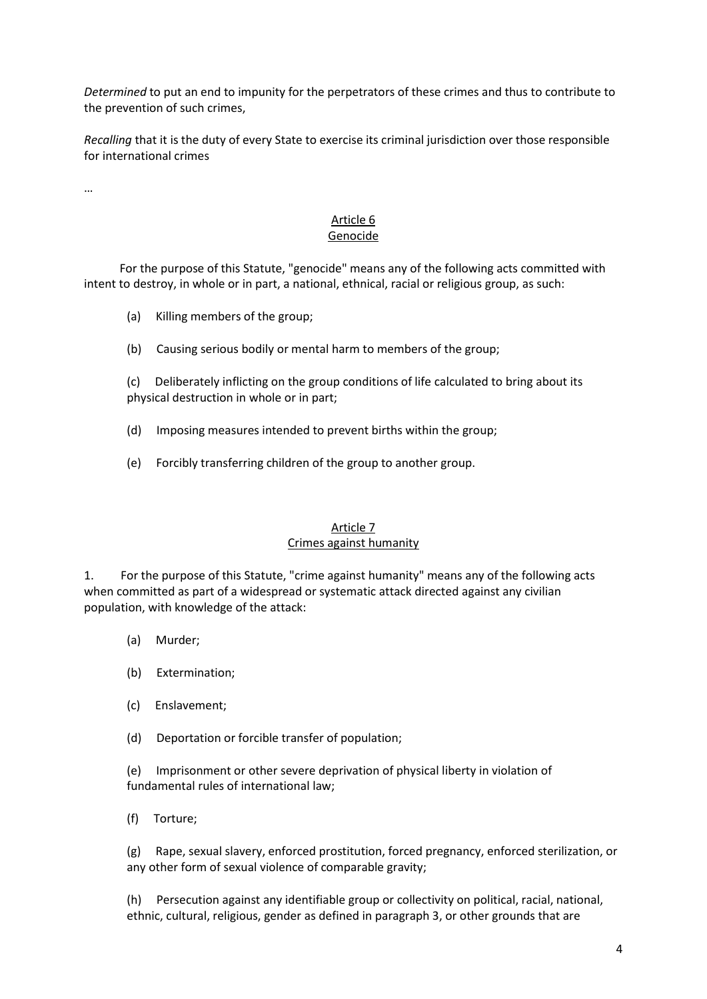*Determined* to put an end to impunity for the perpetrators of these crimes and thus to contribute to the prevention of such crimes,

*Recalling* that it is the duty of every State to exercise its criminal jurisdiction over those responsible for international crimes

…

## Article 6 Genocide

 For the purpose of this Statute, "genocide" means any of the following acts committed with intent to destroy, in whole or in part, a national, ethnical, racial or religious group, as such:

- (a) Killing members of the group;
- (b) Causing serious bodily or mental harm to members of the group;

(c) Deliberately inflicting on the group conditions of life calculated to bring about its physical destruction in whole or in part;

- (d) Imposing measures intended to prevent births within the group;
- (e) Forcibly transferring children of the group to another group.

## Article 7 Crimes against humanity

1. For the purpose of this Statute, "crime against humanity" means any of the following acts when committed as part of a widespread or systematic attack directed against any civilian population, with knowledge of the attack:

- (a) Murder;
- (b) Extermination;
- (c) Enslavement;
- (d) Deportation or forcible transfer of population;

(e) Imprisonment or other severe deprivation of physical liberty in violation of fundamental rules of international law;

(f) Torture;

(g) Rape, sexual slavery, enforced prostitution, forced pregnancy, enforced sterilization, or any other form of sexual violence of comparable gravity;

(h) Persecution against any identifiable group or collectivity on political, racial, national, ethnic, cultural, religious, gender as defined in paragraph 3, or other grounds that are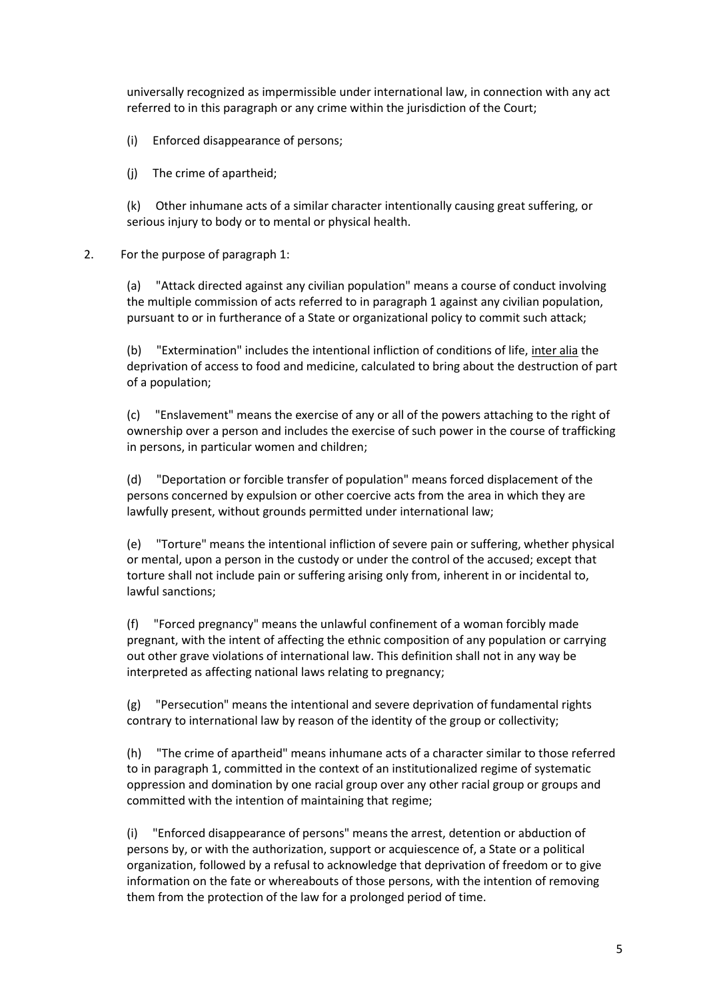universally recognized as impermissible under international law, in connection with any act referred to in this paragraph or any crime within the jurisdiction of the Court;

(i) Enforced disappearance of persons;

(j) The crime of apartheid;

(k) Other inhumane acts of a similar character intentionally causing great suffering, or serious injury to body or to mental or physical health.

2. For the purpose of paragraph 1:

(a) "Attack directed against any civilian population" means a course of conduct involving the multiple commission of acts referred to in paragraph 1 against any civilian population, pursuant to or in furtherance of a State or organizational policy to commit such attack;

(b) "Extermination" includes the intentional infliction of conditions of life, inter alia the deprivation of access to food and medicine, calculated to bring about the destruction of part of a population;

(c) "Enslavement" means the exercise of any or all of the powers attaching to the right of ownership over a person and includes the exercise of such power in the course of trafficking in persons, in particular women and children;

(d) "Deportation or forcible transfer of population" means forced displacement of the persons concerned by expulsion or other coercive acts from the area in which they are lawfully present, without grounds permitted under international law;

(e) "Torture" means the intentional infliction of severe pain or suffering, whether physical or mental, upon a person in the custody or under the control of the accused; except that torture shall not include pain or suffering arising only from, inherent in or incidental to, lawful sanctions;

(f) "Forced pregnancy" means the unlawful confinement of a woman forcibly made pregnant, with the intent of affecting the ethnic composition of any population or carrying out other grave violations of international law. This definition shall not in any way be interpreted as affecting national laws relating to pregnancy;

(g) "Persecution" means the intentional and severe deprivation of fundamental rights contrary to international law by reason of the identity of the group or collectivity;

(h) "The crime of apartheid" means inhumane acts of a character similar to those referred to in paragraph 1, committed in the context of an institutionalized regime of systematic oppression and domination by one racial group over any other racial group or groups and committed with the intention of maintaining that regime;

(i) "Enforced disappearance of persons" means the arrest, detention or abduction of persons by, or with the authorization, support or acquiescence of, a State or a political organization, followed by a refusal to acknowledge that deprivation of freedom or to give information on the fate or whereabouts of those persons, with the intention of removing them from the protection of the law for a prolonged period of time.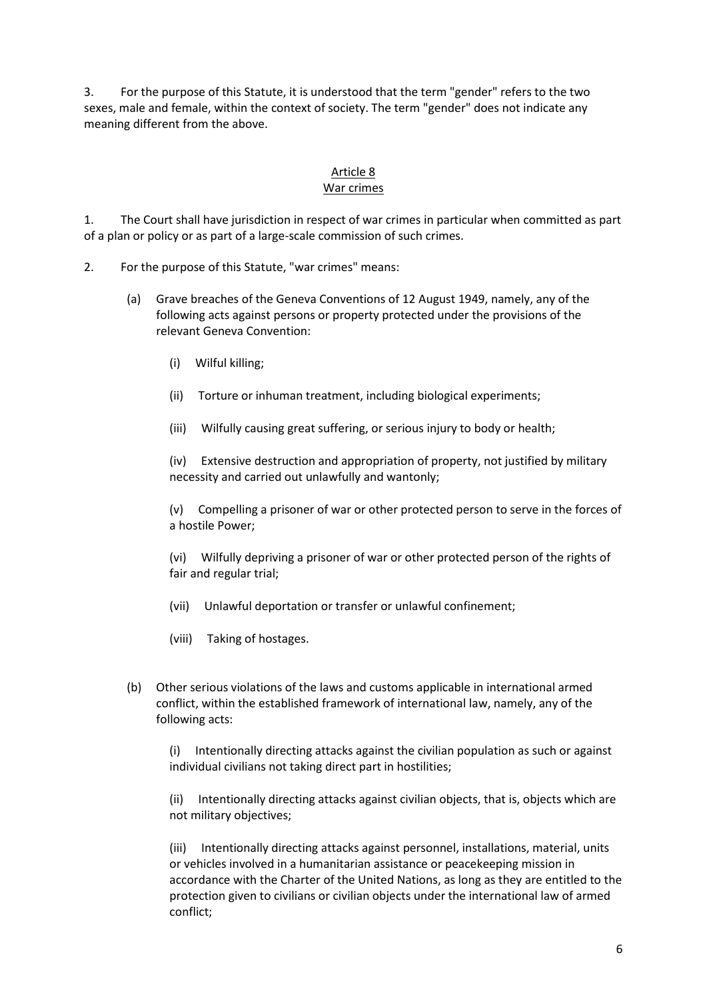3. For the purpose of this Statute, it is understood that the term "gender" refers to the two sexes, male and female, within the context of society. The term "gender" does not indicate any meaning different from the above.

# Article 8

# War crimes

1. The Court shall have jurisdiction in respect of war crimes in particular when committed as part of a plan or policy or as part of a large-scale commission of such crimes.

- 2. For the purpose of this Statute, "war crimes" means:
	- (a) Grave breaches of the Geneva Conventions of 12 August 1949, namely, any of the following acts against persons or property protected under the provisions of the relevant Geneva Convention:
		- (i) Wilful killing;
		- (ii) Torture or inhuman treatment, including biological experiments;
		- (iii) Wilfully causing great suffering, or serious injury to body or health;

(iv) Extensive destruction and appropriation of property, not justified by military necessity and carried out unlawfully and wantonly;

(v) Compelling a prisoner of war or other protected person to serve in the forces of a hostile Power;

(vi) Wilfully depriving a prisoner of war or other protected person of the rights of fair and regular trial;

- (vii) Unlawful deportation or transfer or unlawful confinement;
- (viii) Taking of hostages.
- (b) Other serious violations of the laws and customs applicable in international armed conflict, within the established framework of international law, namely, any of the following acts:

(i) Intentionally directing attacks against the civilian population as such or against individual civilians not taking direct part in hostilities;

(ii) Intentionally directing attacks against civilian objects, that is, objects which are not military objectives;

(iii) Intentionally directing attacks against personnel, installations, material, units or vehicles involved in a humanitarian assistance or peacekeeping mission in accordance with the Charter of the United Nations, as long as they are entitled to the protection given to civilians or civilian objects under the international law of armed conflict;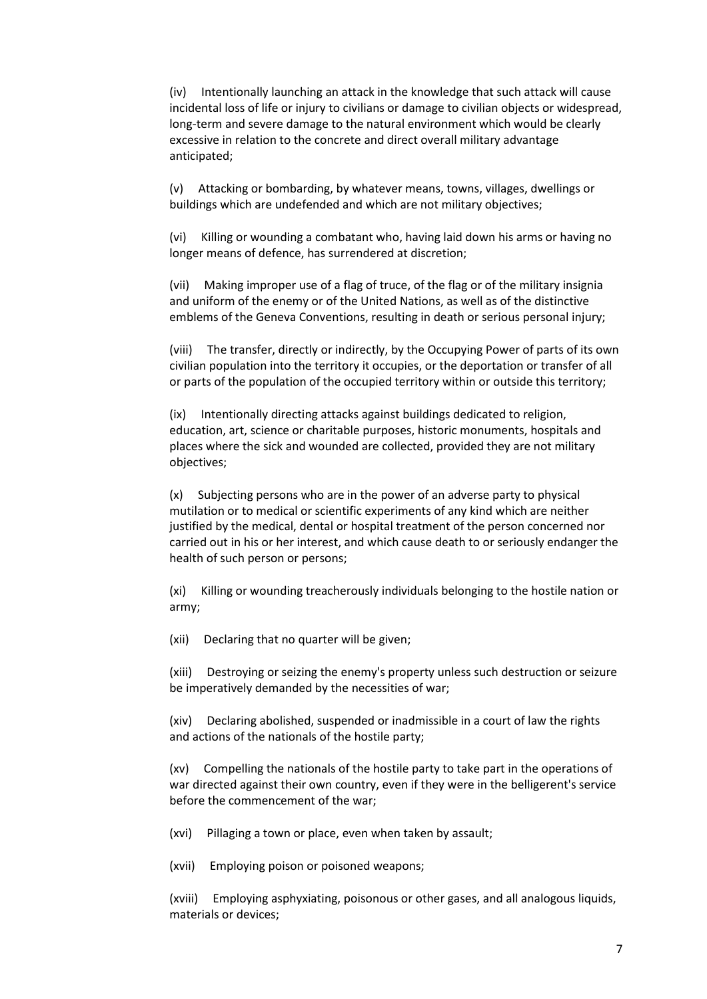(iv) Intentionally launching an attack in the knowledge that such attack will cause incidental loss of life or injury to civilians or damage to civilian objects or widespread, long-term and severe damage to the natural environment which would be clearly excessive in relation to the concrete and direct overall military advantage anticipated;

(v) Attacking or bombarding, by whatever means, towns, villages, dwellings or buildings which are undefended and which are not military objectives;

(vi) Killing or wounding a combatant who, having laid down his arms or having no longer means of defence, has surrendered at discretion;

(vii) Making improper use of a flag of truce, of the flag or of the military insignia and uniform of the enemy or of the United Nations, as well as of the distinctive emblems of the Geneva Conventions, resulting in death or serious personal injury;

(viii) The transfer, directly or indirectly, by the Occupying Power of parts of its own civilian population into the territory it occupies, or the deportation or transfer of all or parts of the population of the occupied territory within or outside this territory;

(ix) Intentionally directing attacks against buildings dedicated to religion, education, art, science or charitable purposes, historic monuments, hospitals and places where the sick and wounded are collected, provided they are not military objectives;

(x) Subjecting persons who are in the power of an adverse party to physical mutilation or to medical or scientific experiments of any kind which are neither justified by the medical, dental or hospital treatment of the person concerned nor carried out in his or her interest, and which cause death to or seriously endanger the health of such person or persons;

(xi) Killing or wounding treacherously individuals belonging to the hostile nation or army;

(xii) Declaring that no quarter will be given;

(xiii) Destroying or seizing the enemy's property unless such destruction or seizure be imperatively demanded by the necessities of war;

(xiv) Declaring abolished, suspended or inadmissible in a court of law the rights and actions of the nationals of the hostile party;

(xv) Compelling the nationals of the hostile party to take part in the operations of war directed against their own country, even if they were in the belligerent's service before the commencement of the war;

(xvi) Pillaging a town or place, even when taken by assault;

(xvii) Employing poison or poisoned weapons;

(xviii) Employing asphyxiating, poisonous or other gases, and all analogous liquids, materials or devices;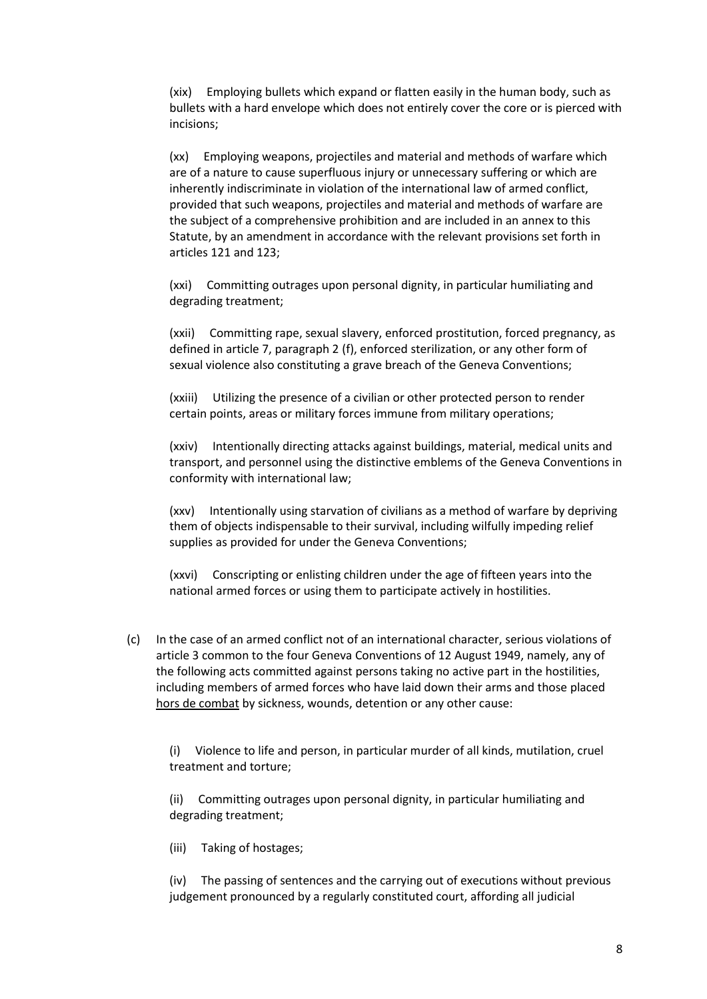(xix) Employing bullets which expand or flatten easily in the human body, such as bullets with a hard envelope which does not entirely cover the core or is pierced with incisions;

(xx) Employing weapons, projectiles and material and methods of warfare which are of a nature to cause superfluous injury or unnecessary suffering or which are inherently indiscriminate in violation of the international law of armed conflict, provided that such weapons, projectiles and material and methods of warfare are the subject of a comprehensive prohibition and are included in an annex to this Statute, by an amendment in accordance with the relevant provisions set forth in articles 121 and 123;

(xxi) Committing outrages upon personal dignity, in particular humiliating and degrading treatment;

(xxii) Committing rape, sexual slavery, enforced prostitution, forced pregnancy, as defined in article 7, paragraph 2 (f), enforced sterilization, or any other form of sexual violence also constituting a grave breach of the Geneva Conventions;

(xxiii) Utilizing the presence of a civilian or other protected person to render certain points, areas or military forces immune from military operations;

(xxiv) Intentionally directing attacks against buildings, material, medical units and transport, and personnel using the distinctive emblems of the Geneva Conventions in conformity with international law;

(xxv) Intentionally using starvation of civilians as a method of warfare by depriving them of objects indispensable to their survival, including wilfully impeding relief supplies as provided for under the Geneva Conventions;

(xxvi) Conscripting or enlisting children under the age of fifteen years into the national armed forces or using them to participate actively in hostilities.

(c) In the case of an armed conflict not of an international character, serious violations of article 3 common to the four Geneva Conventions of 12 August 1949, namely, any of the following acts committed against persons taking no active part in the hostilities, including members of armed forces who have laid down their arms and those placed hors de combat by sickness, wounds, detention or any other cause:

(i) Violence to life and person, in particular murder of all kinds, mutilation, cruel treatment and torture;

(ii) Committing outrages upon personal dignity, in particular humiliating and degrading treatment;

(iii) Taking of hostages;

(iv) The passing of sentences and the carrying out of executions without previous judgement pronounced by a regularly constituted court, affording all judicial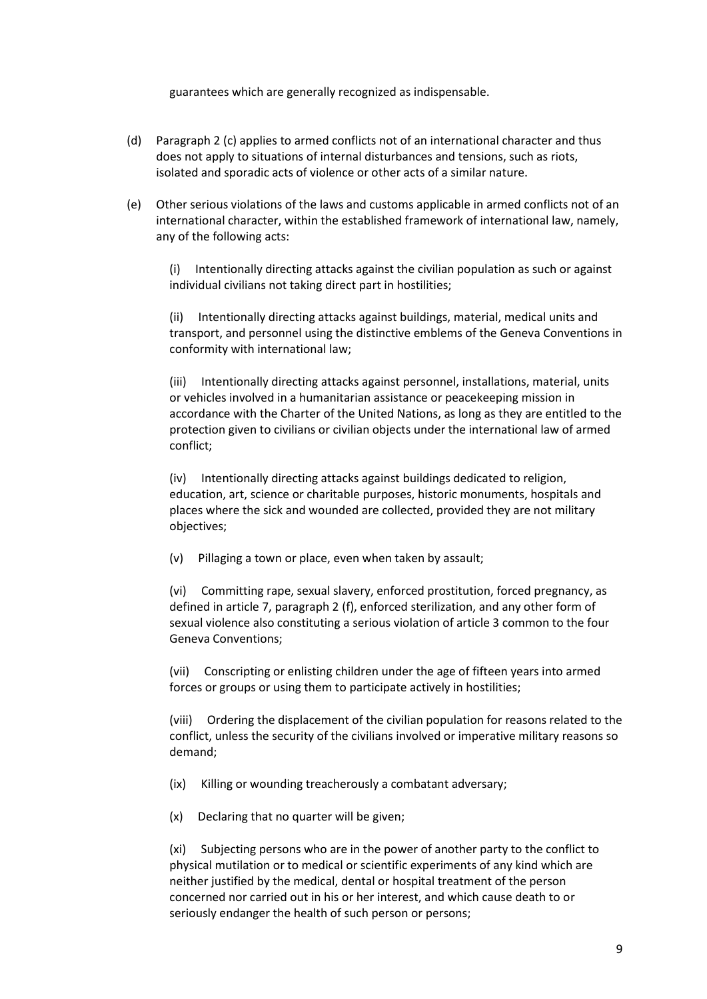guarantees which are generally recognized as indispensable.

- (d) Paragraph 2 (c) applies to armed conflicts not of an international character and thus does not apply to situations of internal disturbances and tensions, such as riots, isolated and sporadic acts of violence or other acts of a similar nature.
- (e) Other serious violations of the laws and customs applicable in armed conflicts not of an international character, within the established framework of international law, namely, any of the following acts:

(i) Intentionally directing attacks against the civilian population as such or against individual civilians not taking direct part in hostilities;

(ii) Intentionally directing attacks against buildings, material, medical units and transport, and personnel using the distinctive emblems of the Geneva Conventions in conformity with international law;

(iii) Intentionally directing attacks against personnel, installations, material, units or vehicles involved in a humanitarian assistance or peacekeeping mission in accordance with the Charter of the United Nations, as long as they are entitled to the protection given to civilians or civilian objects under the international law of armed conflict;

(iv) Intentionally directing attacks against buildings dedicated to religion, education, art, science or charitable purposes, historic monuments, hospitals and places where the sick and wounded are collected, provided they are not military objectives;

(v) Pillaging a town or place, even when taken by assault;

(vi) Committing rape, sexual slavery, enforced prostitution, forced pregnancy, as defined in article 7, paragraph 2 (f), enforced sterilization, and any other form of sexual violence also constituting a serious violation of article 3 common to the four Geneva Conventions;

(vii) Conscripting or enlisting children under the age of fifteen years into armed forces or groups or using them to participate actively in hostilities;

(viii) Ordering the displacement of the civilian population for reasons related to the conflict, unless the security of the civilians involved or imperative military reasons so demand;

(ix) Killing or wounding treacherously a combatant adversary;

(x) Declaring that no quarter will be given;

(xi) Subjecting persons who are in the power of another party to the conflict to physical mutilation or to medical or scientific experiments of any kind which are neither justified by the medical, dental or hospital treatment of the person concerned nor carried out in his or her interest, and which cause death to or seriously endanger the health of such person or persons;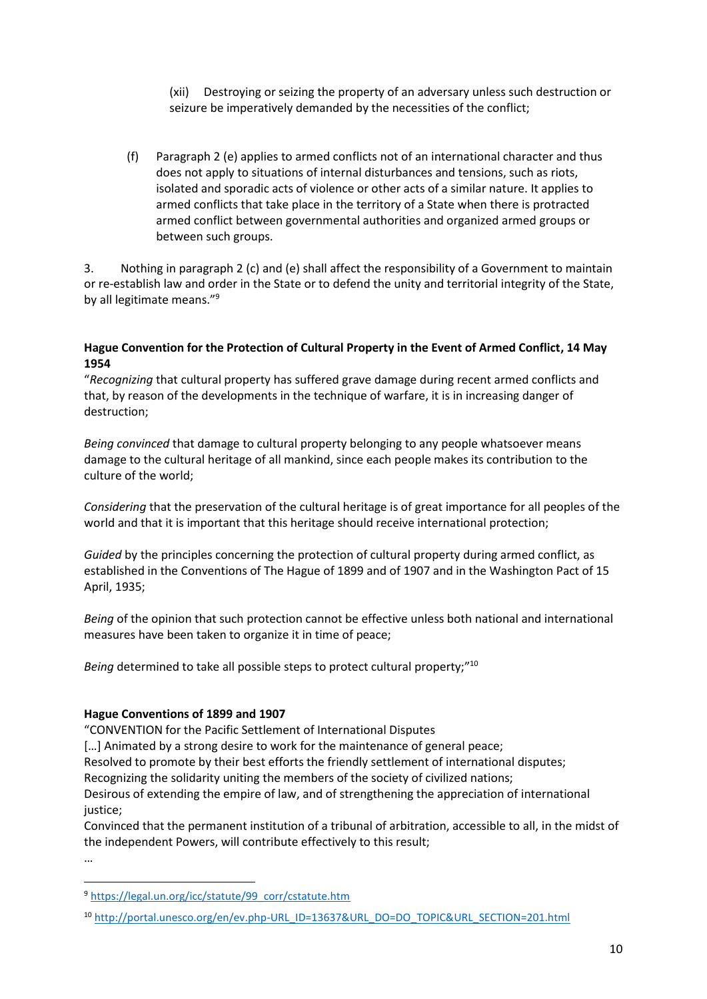(xii) Destroying or seizing the property of an adversary unless such destruction or seizure be imperatively demanded by the necessities of the conflict;

(f) Paragraph 2 (e) applies to armed conflicts not of an international character and thus does not apply to situations of internal disturbances and tensions, such as riots, isolated and sporadic acts of violence or other acts of a similar nature. It applies to armed conflicts that take place in the territory of a State when there is protracted armed conflict between governmental authorities and organized armed groups or between such groups.

3. Nothing in paragraph 2 (c) and (e) shall affect the responsibility of a Government to maintain or re-establish law and order in the State or to defend the unity and territorial integrity of the State, by all legitimate means."<sup>9</sup>

### **Hague Convention for the Protection of Cultural Property in the Event of Armed Conflict, 14 May 1954**

"*Recognizing* that cultural property has suffered grave damage during recent armed conflicts and that, by reason of the developments in the technique of warfare, it is in increasing danger of destruction;

*Being convinced* that damage to cultural property belonging to any people whatsoever means damage to the cultural heritage of all mankind, since each people makes its contribution to the culture of the world;

*Considering* that the preservation of the cultural heritage is of great importance for all peoples of the world and that it is important that this heritage should receive international protection;

*Guided* by the principles concerning the protection of cultural property during armed conflict, as established in the Conventions of The Hague of 1899 and of 1907 and in the Washington Pact of 15 April, 1935;

*Being* of the opinion that such protection cannot be effective unless both national and international measures have been taken to organize it in time of peace;

Being determined to take all possible steps to protect cultural property;<sup>"10</sup>

### **Hague Conventions of 1899 and 1907**

"CONVENTION for the Pacific Settlement of International Disputes

[...] Animated by a strong desire to work for the maintenance of general peace;

Resolved to promote by their best efforts the friendly settlement of international disputes;

Recognizing the solidarity uniting the members of the society of civilized nations;

Desirous of extending the empire of law, and of strengthening the appreciation of international justice;

Convinced that the permanent institution of a tribunal of arbitration, accessible to all, in the midst of the independent Powers, will contribute effectively to this result;

…

<sup>9</sup> [https://legal.un.org/icc/statute/99\\_corr/cstatute.htm](https://legal.un.org/icc/statute/99_corr/cstatute.htm)

<sup>10</sup> [http://portal.unesco.org/en/ev.php-URL\\_ID=13637&URL\\_DO=DO\\_TOPIC&URL\\_SECTION=201.html](http://portal.unesco.org/en/ev.php-URL_ID=13637&URL_DO=DO_TOPIC&URL_SECTION=201.html)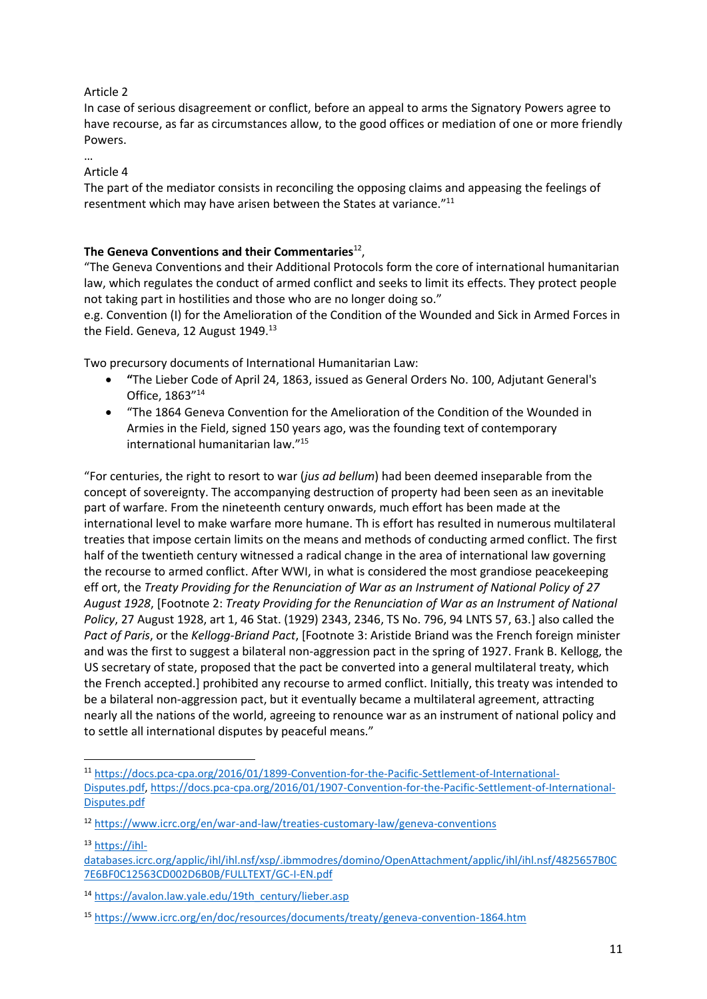## Article 2

In case of serious disagreement or conflict, before an appeal to arms the Signatory Powers agree to have recourse, as far as circumstances allow, to the good offices or mediation of one or more friendly Powers.

…

Article 4

The part of the mediator consists in reconciling the opposing claims and appeasing the feelings of resentment which may have arisen between the States at variance."<sup>11</sup>

# The Geneva Conventions and their Commentaries<sup>12</sup>,

"The Geneva Conventions and their Additional Protocols form the core of international humanitarian law, which regulates the conduct of armed conflict and seeks to limit its effects. They protect people not taking part in hostilities and those who are no longer doing so."

e.g. Convention (I) for the Amelioration of the Condition of the Wounded and Sick in Armed Forces in the Field. Geneva, 12 August 1949.<sup>13</sup>

Two precursory documents of International Humanitarian Law:

- **"**The Lieber Code of April 24, 1863, issued as General Orders No. 100, Adjutant General's Office, 1863"<sup>14</sup>
- "The 1864 Geneva Convention for the Amelioration of the Condition of the Wounded in Armies in the Field, signed 150 years ago, was the founding text of contemporary international humanitarian law."<sup>15</sup>

"For centuries, the right to resort to war (*jus ad bellum*) had been deemed inseparable from the concept of sovereignty. The accompanying destruction of property had been seen as an inevitable part of warfare. From the nineteenth century onwards, much effort has been made at the international level to make warfare more humane. Th is effort has resulted in numerous multilateral treaties that impose certain limits on the means and methods of conducting armed conflict. The first half of the twentieth century witnessed a radical change in the area of international law governing the recourse to armed conflict. After WWI, in what is considered the most grandiose peacekeeping eff ort, the *Treaty Providing for the Renunciation of War as an Instrument of National Policy of 27 August 1928*, [Footnote 2: *Treaty Providing for the Renunciation of War as an Instrument of National Policy*, 27 August 1928, art 1, 46 Stat. (1929) 2343, 2346, TS No. 796, 94 LNTS 57, 63.] also called the *Pact of Paris*, or the *Kellogg-Briand Pact*, [Footnote 3: Aristide Briand was the French foreign minister and was the first to suggest a bilateral non-aggression pact in the spring of 1927. Frank B. Kellogg, the US secretary of state, proposed that the pact be converted into a general multilateral treaty, which the French accepted.] prohibited any recourse to armed conflict. Initially, this treaty was intended to be a bilateral non-aggression pact, but it eventually became a multilateral agreement, attracting nearly all the nations of the world, agreeing to renounce war as an instrument of national policy and to settle all international disputes by peaceful means."

<sup>13</sup> [https://ihl-](https://ihl-databases.icrc.org/applic/ihl/ihl.nsf/xsp/.ibmmodres/domino/OpenAttachment/applic/ihl/ihl.nsf/4825657B0C7E6BF0C12563CD002D6B0B/FULLTEXT/GC-I-EN.pdf)

<sup>11</sup> [https://docs.pca-cpa.org/2016/01/1899-Convention-for-the-Pacific-Settlement-of-International-](https://docs.pca-cpa.org/2016/01/1899-Convention-for-the-Pacific-Settlement-of-International-Disputes.pdf)[Disputes.pdf,](https://docs.pca-cpa.org/2016/01/1899-Convention-for-the-Pacific-Settlement-of-International-Disputes.pdf) [https://docs.pca-cpa.org/2016/01/1907-Convention-for-the-Pacific-Settlement-of-International-](https://docs.pca-cpa.org/2016/01/1907-Convention-for-the-Pacific-Settlement-of-International-Disputes.pdf)[Disputes.pdf](https://docs.pca-cpa.org/2016/01/1907-Convention-for-the-Pacific-Settlement-of-International-Disputes.pdf)

<sup>12</sup> <https://www.icrc.org/en/war-and-law/treaties-customary-law/geneva-conventions>

[databases.icrc.org/applic/ihl/ihl.nsf/xsp/.ibmmodres/domino/OpenAttachment/applic/ihl/ihl.nsf/4825657B0C](https://ihl-databases.icrc.org/applic/ihl/ihl.nsf/xsp/.ibmmodres/domino/OpenAttachment/applic/ihl/ihl.nsf/4825657B0C7E6BF0C12563CD002D6B0B/FULLTEXT/GC-I-EN.pdf) [7E6BF0C12563CD002D6B0B/FULLTEXT/GC-I-EN.pdf](https://ihl-databases.icrc.org/applic/ihl/ihl.nsf/xsp/.ibmmodres/domino/OpenAttachment/applic/ihl/ihl.nsf/4825657B0C7E6BF0C12563CD002D6B0B/FULLTEXT/GC-I-EN.pdf)

<sup>14</sup> [https://avalon.law.yale.edu/19th\\_century/lieber.asp](https://avalon.law.yale.edu/19th_century/lieber.asp)

<sup>15</sup> <https://www.icrc.org/en/doc/resources/documents/treaty/geneva-convention-1864.htm>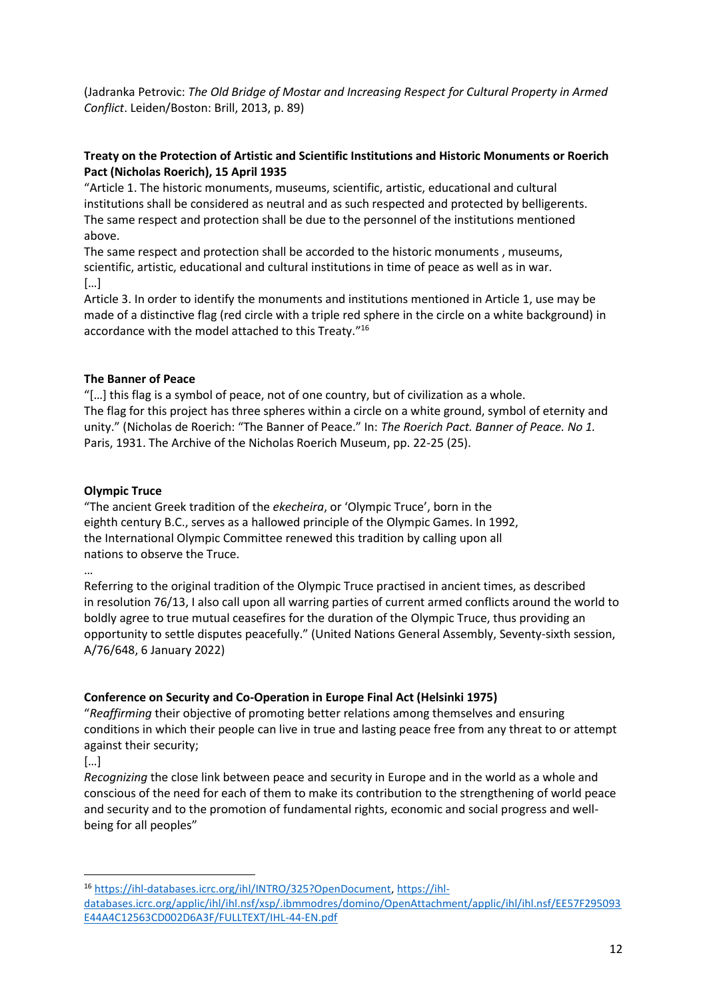(Jadranka Petrovic: *The Old Bridge of Mostar and Increasing Respect for Cultural Property in Armed Conflict*. Leiden/Boston: Brill, 2013, p. 89)

#### **Treaty on the Protection of Artistic and Scientific Institutions and Historic Monuments or Roerich Pact (Nicholas Roerich), 15 April 1935**

"Article 1. The historic monuments, museums, scientific, artistic, educational and cultural institutions shall be considered as neutral and as such respected and protected by belligerents. The same respect and protection shall be due to the personnel of the institutions mentioned above.

The same respect and protection shall be accorded to the historic monuments , museums, scientific, artistic, educational and cultural institutions in time of peace as well as in war.  $[...]$ 

Article 3. In order to identify the monuments and institutions mentioned in Article 1, use may be made of a distinctive flag (red circle with a triple red sphere in the circle on a white background) in accordance with the model attached to this Treaty." 16

### **The Banner of Peace**

"[…] this flag is a symbol of peace, not of one country, but of civilization as a whole. The flag for this project has three spheres within a circle on a white ground, symbol of eternity and unity." (Nicholas de Roerich: "The Banner of Peace." In: *The Roerich Pact. Banner of Peace. No 1.*  Paris, 1931. The Archive of the Nicholas Roerich Museum, pp. 22-25 (25).

### **Olympic Truce**

"The ancient Greek tradition of the *ekecheira*, or 'Olympic Truce', born in the eighth century B.C., serves as a hallowed principle of the Olympic Games. In 1992, the International Olympic Committee renewed this tradition by calling upon all nations to observe the Truce.

…

Referring to the original tradition of the Olympic Truce practised in ancient times, as described in resolution 76/13, I also call upon all warring parties of current armed conflicts around the world to boldly agree to true mutual ceasefires for the duration of the Olympic Truce, thus providing an opportunity to settle disputes peacefully." (United Nations General Assembly, Seventy-sixth session, A/76/648, 6 January 2022)

## **Conference on Security and Co-Operation in Europe Final Act (Helsinki 1975)**

"*Reaffirming* their objective of promoting better relations among themselves and ensuring conditions in which their people can live in true and lasting peace free from any threat to or attempt against their security;

[…]

*Recognizing* the close link between peace and security in Europe and in the world as a whole and conscious of the need for each of them to make its contribution to the strengthening of world peace and security and to the promotion of fundamental rights, economic and social progress and wellbeing for all peoples"

<sup>16</sup> [https://ihl-databases.icrc.org/ihl/INTRO/325?OpenDocument,](https://ihl-databases.icrc.org/ihl/INTRO/325?OpenDocument) [https://ihl-](https://ihl-databases.icrc.org/applic/ihl/ihl.nsf/xsp/.ibmmodres/domino/OpenAttachment/applic/ihl/ihl.nsf/EE57F295093E44A4C12563CD002D6A3F/FULLTEXT/IHL-44-EN.pdf)

[databases.icrc.org/applic/ihl/ihl.nsf/xsp/.ibmmodres/domino/OpenAttachment/applic/ihl/ihl.nsf/EE57F295093](https://ihl-databases.icrc.org/applic/ihl/ihl.nsf/xsp/.ibmmodres/domino/OpenAttachment/applic/ihl/ihl.nsf/EE57F295093E44A4C12563CD002D6A3F/FULLTEXT/IHL-44-EN.pdf) [E44A4C12563CD002D6A3F/FULLTEXT/IHL-44-EN.pdf](https://ihl-databases.icrc.org/applic/ihl/ihl.nsf/xsp/.ibmmodres/domino/OpenAttachment/applic/ihl/ihl.nsf/EE57F295093E44A4C12563CD002D6A3F/FULLTEXT/IHL-44-EN.pdf)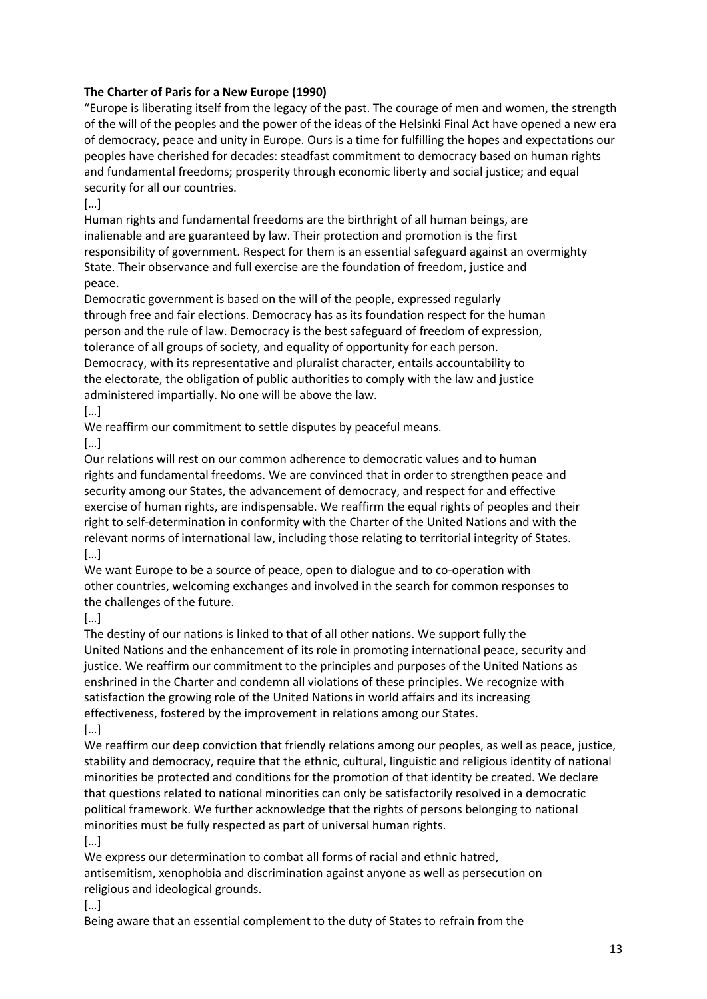## **The Charter of Paris for a New Europe (1990)**

"Europe is liberating itself from the legacy of the past. The courage of men and women, the strength of the will of the peoples and the power of the ideas of the Helsinki Final Act have opened a new era of democracy, peace and unity in Europe. Ours is a time for fulfilling the hopes and expectations our peoples have cherished for decades: steadfast commitment to democracy based on human rights and fundamental freedoms; prosperity through economic liberty and social justice; and equal security for all our countries.

[…]

Human rights and fundamental freedoms are the birthright of all human beings, are inalienable and are guaranteed by law. Their protection and promotion is the first responsibility of government. Respect for them is an essential safeguard against an overmighty State. Their observance and full exercise are the foundation of freedom, justice and peace.

Democratic government is based on the will of the people, expressed regularly through free and fair elections. Democracy has as its foundation respect for the human person and the rule of law. Democracy is the best safeguard of freedom of expression, tolerance of all groups of society, and equality of opportunity for each person. Democracy, with its representative and pluralist character, entails accountability to the electorate, the obligation of public authorities to comply with the law and justice administered impartially. No one will be above the law.

#### […]

We reaffirm our commitment to settle disputes by peaceful means.

[…]

Our relations will rest on our common adherence to democratic values and to human rights and fundamental freedoms. We are convinced that in order to strengthen peace and security among our States, the advancement of democracy, and respect for and effective exercise of human rights, are indispensable. We reaffirm the equal rights of peoples and their right to self-determination in conformity with the Charter of the United Nations and with the relevant norms of international law, including those relating to territorial integrity of States. […]

We want Europe to be a source of peace, open to dialogue and to co-operation with other countries, welcoming exchanges and involved in the search for common responses to the challenges of the future.

### […]

The destiny of our nations is linked to that of all other nations. We support fully the United Nations and the enhancement of its role in promoting international peace, security and justice. We reaffirm our commitment to the principles and purposes of the United Nations as enshrined in the Charter and condemn all violations of these principles. We recognize with satisfaction the growing role of the United Nations in world affairs and its increasing effectiveness, fostered by the improvement in relations among our States. […]

We reaffirm our deep conviction that friendly relations among our peoples, as well as peace, justice, stability and democracy, require that the ethnic, cultural, linguistic and religious identity of national minorities be protected and conditions for the promotion of that identity be created. We declare that questions related to national minorities can only be satisfactorily resolved in a democratic political framework. We further acknowledge that the rights of persons belonging to national minorities must be fully respected as part of universal human rights.

[…]

We express our determination to combat all forms of racial and ethnic hatred, antisemitism, xenophobia and discrimination against anyone as well as persecution on religious and ideological grounds.

[…]

Being aware that an essential complement to the duty of States to refrain from the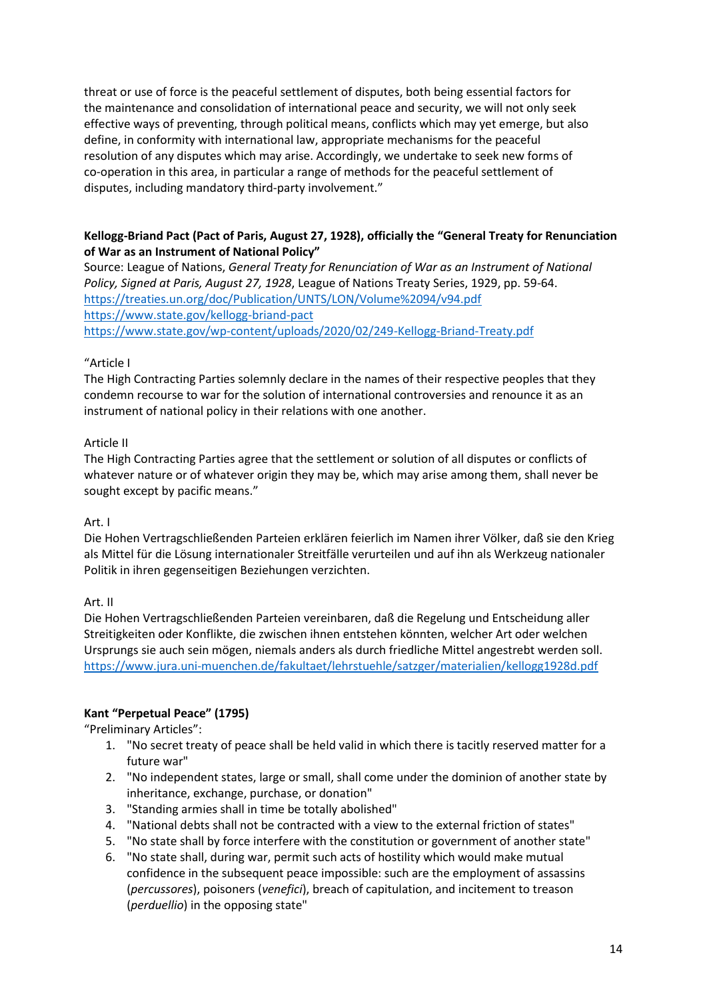threat or use of force is the peaceful settlement of disputes, both being essential factors for the maintenance and consolidation of international peace and security, we will not only seek effective ways of preventing, through political means, conflicts which may yet emerge, but also define, in conformity with international law, appropriate mechanisms for the peaceful resolution of any disputes which may arise. Accordingly, we undertake to seek new forms of co-operation in this area, in particular a range of methods for the peaceful settlement of disputes, including mandatory third-party involvement."

### **Kellogg-Briand Pact (Pact of Paris, August 27, 1928), officially the "General Treaty for Renunciation of War as an Instrument of National Policy"**

Source: League of Nations, *General Treaty for Renunciation of War as an Instrument of National Policy, Signed at Paris, August 27, 1928*, League of Nations Treaty Series, 1929, pp. 59-64. <https://treaties.un.org/doc/Publication/UNTS/LON/Volume%2094/v94.pdf> <https://www.state.gov/kellogg-briand-pact> <https://www.state.gov/wp-content/uploads/2020/02/249-Kellogg-Briand-Treaty.pdf>

### "Article I

The High Contracting Parties solemnly declare in the names of their respective peoples that they condemn recourse to war for the solution of international controversies and renounce it as an instrument of national policy in their relations with one another.

#### Article II

The High Contracting Parties agree that the settlement or solution of all disputes or conflicts of whatever nature or of whatever origin they may be, which may arise among them, shall never be sought except by pacific means."

#### Art. I

Die Hohen Vertragschließenden Parteien erklären feierlich im Namen ihrer Völker, daß sie den Krieg als Mittel für die Lösung internationaler Streitfälle verurteilen und auf ihn als Werkzeug nationaler Politik in ihren gegenseitigen Beziehungen verzichten.

### Art. II

Die Hohen Vertragschließenden Parteien vereinbaren, daß die Regelung und Entscheidung aller Streitigkeiten oder Konflikte, die zwischen ihnen entstehen könnten, welcher Art oder welchen Ursprungs sie auch sein mögen, niemals anders als durch friedliche Mittel angestrebt werden soll. <https://www.jura.uni-muenchen.de/fakultaet/lehrstuehle/satzger/materialien/kellogg1928d.pdf>

### **Kant "Perpetual Peace" (1795)**

"Preliminary Articles":

- 1. "No secret treaty of peace shall be held valid in which there is tacitly reserved matter for a future war"
- 2. "No independent states, large or small, shall come under the dominion of another state by inheritance, exchange, purchase, or donation"
- 3. "Standing armies shall in time be totally abolished"
- 4. "National debts shall not be contracted with a view to the external friction of states"
- 5. "No state shall by force interfere with the constitution or government of another state"
- 6. "No state shall, during war, permit such acts of hostility which would make mutual confidence in the subsequent peace impossible: such are the employment of assassins (*percussores*), poisoners (*venefici*), breach of capitulation, and incitement to treason (*perduellio*) in the opposing state"